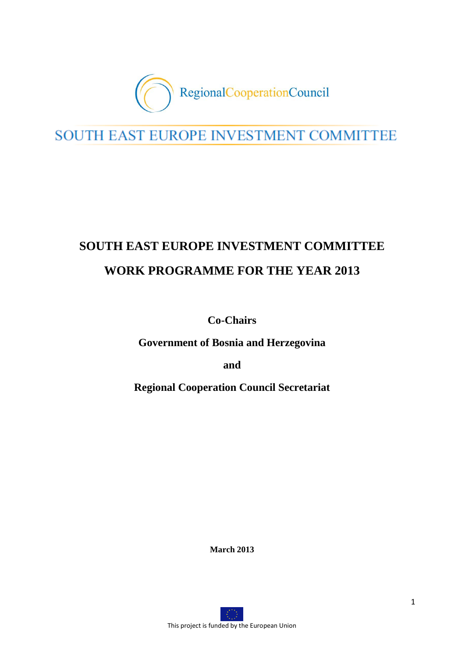

SOUTH EAST EUROPE INVESTMENT COMMITTEE

# **SOUTH EAST EUROPE INVESTMENT COMMITTEE WORK PROGRAMME FOR THE YEAR 2013**

**Co-Chairs**

**Government of Bosnia and Herzegovina**

**and** 

**Regional Cooperation Council Secretariat**

**March 2013**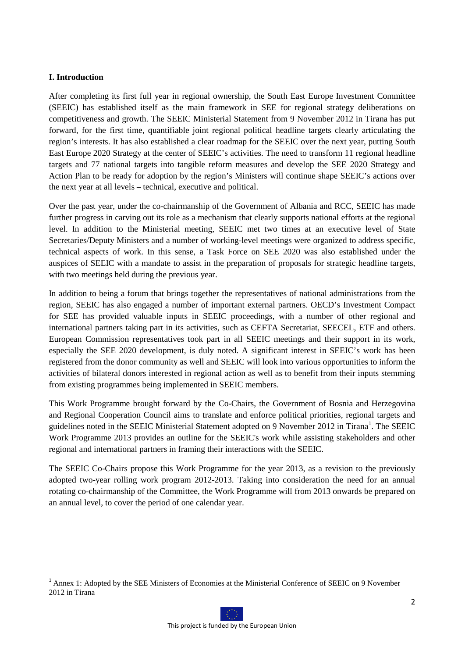## **I. Introduction**

After completing its first full year in regional ownership, the South East Europe Investment Committee (SEEIC) has established itself as the main framework in SEE for regional strategy deliberations on competitiveness and growth. The SEEIC Ministerial Statement from 9 November 2012 in Tirana has put forward, for the first time, quantifiable joint regional political headline targets clearly articulating the region's interests. It has also established a clear roadmap for the SEEIC over the next year, putting South East Europe 2020 Strategy at the center of SEEIC's activities. The need to transform 11 regional headline targets and 77 national targets into tangible reform measures and develop the SEE 2020 Strategy and Action Plan to be ready for adoption by the region's Ministers will continue shape SEEIC's actions over the next year at all levels – technical, executive and political.

Over the past year, under the co-chairmanship of the Government of Albania and RCC, SEEIC has made further progress in carving out its role as a mechanism that clearly supports national efforts at the regional level. In addition to the Ministerial meeting, SEEIC met two times at an executive level of State Secretaries/Deputy Ministers and a number of working-level meetings were organized to address specific, technical aspects of work. In this sense, a Task Force on SEE 2020 was also established under the auspices of SEEIC with a mandate to assist in the preparation of proposals for strategic headline targets, with two meetings held during the previous year.

In addition to being a forum that brings together the representatives of national administrations from the region, SEEIC has also engaged a number of important external partners. OECD's Investment Compact for SEE has provided valuable inputs in SEEIC proceedings, with a number of other regional and international partners taking part in its activities, such as CEFTA Secretariat, SEECEL, ETF and others. European Commission representatives took part in all SEEIC meetings and their support in its work, especially the SEE 2020 development, is duly noted. A significant interest in SEEIC's work has been registered from the donor community as well and SEEIC will look into various opportunities to inform the activities of bilateral donors interested in regional action as well as to benefit from their inputs stemming from existing programmes being implemented in SEEIC members.

This Work Programme brought forward by the Co-Chairs, the Government of Bosnia and Herzegovina and Regional Cooperation Council aims to translate and enforce political priorities, regional targets and guidelines noted in the SEEIC Ministerial Statement adopted on 9 November 20[1](#page-1-0)2 in Tirana<sup>1</sup>. The SEEIC Work Programme 2013 provides an outline for the SEEIC's work while assisting stakeholders and other regional and international partners in framing their interactions with the SEEIC.

The SEEIC Co-Chairs propose this Work Programme for the year 2013, as a revision to the previously adopted two-year rolling work program 2012-2013. Taking into consideration the need for an annual rotating co-chairmanship of the Committee, the Work Programme will from 2013 onwards be prepared on an annual level, to cover the period of one calendar year.

<span id="page-1-0"></span><sup>&</sup>lt;sup>1</sup> Annex 1: Adopted by the SEE Ministers of Economies at the Ministerial Conference of SEEIC on 9 November 2012 in Tirana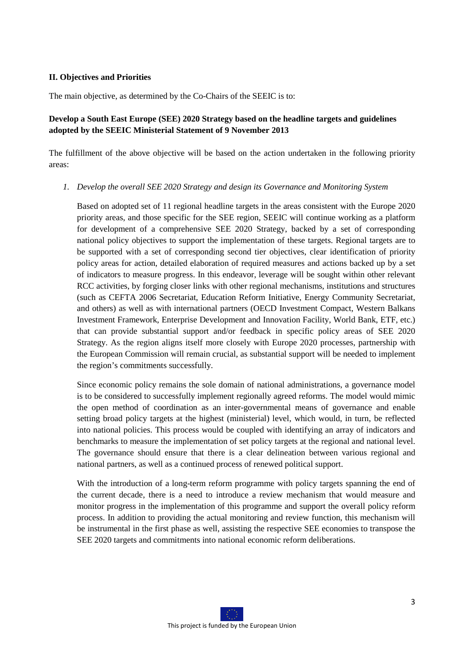### **II. Objectives and Priorities**

The main objective, as determined by the Co-Chairs of the SEEIC is to:

# **Develop a South East Europe (SEE) 2020 Strategy based on the headline targets and guidelines adopted by the SEEIC Ministerial Statement of 9 November 2013**

The fulfillment of the above objective will be based on the action undertaken in the following priority areas:

*1. Develop the overall SEE 2020 Strategy and design its Governance and Monitoring System*

Based on adopted set of 11 regional headline targets in the areas consistent with the Europe 2020 priority areas, and those specific for the SEE region, SEEIC will continue working as a platform for development of a comprehensive SEE 2020 Strategy, backed by a set of corresponding national policy objectives to support the implementation of these targets. Regional targets are to be supported with a set of corresponding second tier objectives, clear identification of priority policy areas for action, detailed elaboration of required measures and actions backed up by a set of indicators to measure progress. In this endeavor, leverage will be sought within other relevant RCC activities, by forging closer links with other regional mechanisms, institutions and structures (such as CEFTA 2006 Secretariat, Education Reform Initiative, Energy Community Secretariat, and others) as well as with international partners (OECD Investment Compact, Western Balkans Investment Framework, Enterprise Development and Innovation Facility, World Bank, ETF, etc.) that can provide substantial support and/or feedback in specific policy areas of SEE 2020 Strategy. As the region aligns itself more closely with Europe 2020 processes, partnership with the European Commission will remain crucial, as substantial support will be needed to implement the region's commitments successfully.

Since economic policy remains the sole domain of national administrations, a governance model is to be considered to successfully implement regionally agreed reforms. The model would mimic the open method of coordination as an inter-governmental means of governance and enable setting broad policy targets at the highest (ministerial) level, which would, in turn, be reflected into national policies. This process would be coupled with identifying an array of indicators and benchmarks to measure the implementation of set policy targets at the regional and national level. The governance should ensure that there is a clear delineation between various regional and national partners, as well as a continued process of renewed political support.

With the introduction of a long-term reform programme with policy targets spanning the end of the current decade, there is a need to introduce a review mechanism that would measure and monitor progress in the implementation of this programme and support the overall policy reform process. In addition to providing the actual monitoring and review function, this mechanism will be instrumental in the first phase as well, assisting the respective SEE economies to transpose the SEE 2020 targets and commitments into national economic reform deliberations.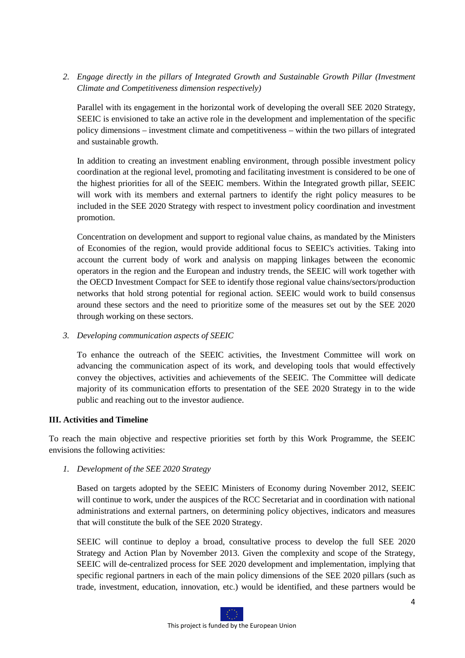*2. Engage directly in the pillars of Integrated Growth and Sustainable Growth Pillar (Investment Climate and Competitiveness dimension respectively)*

Parallel with its engagement in the horizontal work of developing the overall SEE 2020 Strategy, SEEIC is envisioned to take an active role in the development and implementation of the specific policy dimensions – investment climate and competitiveness – within the two pillars of integrated and sustainable growth.

In addition to creating an investment enabling environment, through possible investment policy coordination at the regional level, promoting and facilitating investment is considered to be one of the highest priorities for all of the SEEIC members. Within the Integrated growth pillar, SEEIC will work with its members and external partners to identify the right policy measures to be included in the SEE 2020 Strategy with respect to investment policy coordination and investment promotion.

Concentration on development and support to regional value chains, as mandated by the Ministers of Economies of the region, would provide additional focus to SEEIC's activities. Taking into account the current body of work and analysis on mapping linkages between the economic operators in the region and the European and industry trends, the SEEIC will work together with the OECD Investment Compact for SEE to identify those regional value chains/sectors/production networks that hold strong potential for regional action. SEEIC would work to build consensus around these sectors and the need to prioritize some of the measures set out by the SEE 2020 through working on these sectors.

#### *3. Developing communication aspects of SEEIC*

To enhance the outreach of the SEEIC activities, the Investment Committee will work on advancing the communication aspect of its work, and developing tools that would effectively convey the objectives, activities and achievements of the SEEIC. The Committee will dedicate majority of its communication efforts to presentation of the SEE 2020 Strategy in to the wide public and reaching out to the investor audience.

# **III. Activities and Timeline**

To reach the main objective and respective priorities set forth by this Work Programme, the SEEIC envisions the following activities:

# *1. Development of the SEE 2020 Strategy*

Based on targets adopted by the SEEIC Ministers of Economy during November 2012, SEEIC will continue to work, under the auspices of the RCC Secretariat and in coordination with national administrations and external partners, on determining policy objectives, indicators and measures that will constitute the bulk of the SEE 2020 Strategy.

SEEIC will continue to deploy a broad, consultative process to develop the full SEE 2020 Strategy and Action Plan by November 2013. Given the complexity and scope of the Strategy, SEEIC will de-centralized process for SEE 2020 development and implementation, implying that specific regional partners in each of the main policy dimensions of the SEE 2020 pillars (such as trade, investment, education, innovation, etc.) would be identified, and these partners would be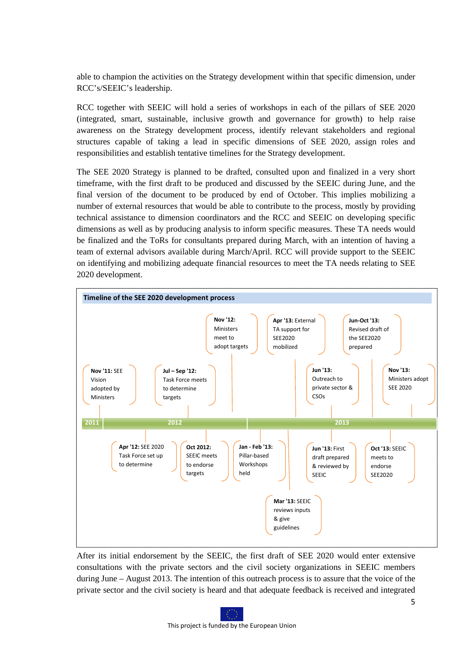able to champion the activities on the Strategy development within that specific dimension, under RCC's/SEEIC's leadership.

RCC together with SEEIC will hold a series of workshops in each of the pillars of SEE 2020 (integrated, smart, sustainable, inclusive growth and governance for growth) to help raise awareness on the Strategy development process, identify relevant stakeholders and regional structures capable of taking a lead in specific dimensions of SEE 2020, assign roles and responsibilities and establish tentative timelines for the Strategy development.

The SEE 2020 Strategy is planned to be drafted, consulted upon and finalized in a very short timeframe, with the first draft to be produced and discussed by the SEEIC during June, and the final version of the document to be produced by end of October. This implies mobilizing a number of external resources that would be able to contribute to the process, mostly by providing technical assistance to dimension coordinators and the RCC and SEEIC on developing specific dimensions as well as by producing analysis to inform specific measures. These TA needs would be finalized and the ToRs for consultants prepared during March, with an intention of having a team of external advisors available during March/April. RCC will provide support to the SEEIC on identifying and mobilizing adequate financial resources to meet the TA needs relating to SEE 2020 development.



After its initial endorsement by the SEEIC, the first draft of SEE 2020 would enter extensive consultations with the private sectors and the civil society organizations in SEEIC members during June – August 2013. The intention of this outreach process is to assure that the voice of the private sector and the civil society is heard and that adequate feedback is received and integrated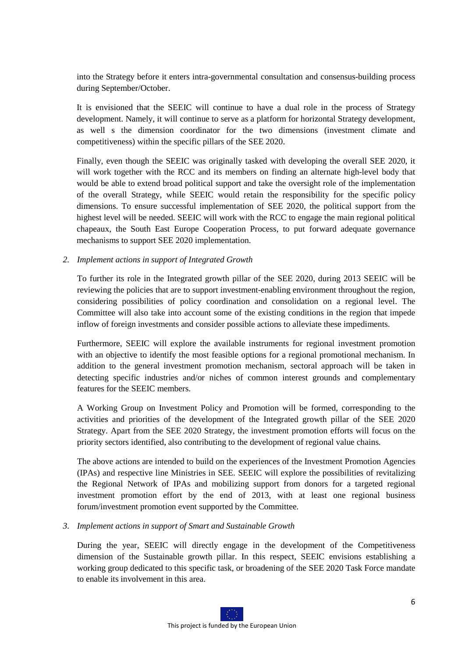into the Strategy before it enters intra-governmental consultation and consensus-building process during September/October.

It is envisioned that the SEEIC will continue to have a dual role in the process of Strategy development. Namely, it will continue to serve as a platform for horizontal Strategy development, as well s the dimension coordinator for the two dimensions (investment climate and competitiveness) within the specific pillars of the SEE 2020.

Finally, even though the SEEIC was originally tasked with developing the overall SEE 2020, it will work together with the RCC and its members on finding an alternate high-level body that would be able to extend broad political support and take the oversight role of the implementation of the overall Strategy, while SEEIC would retain the responsibility for the specific policy dimensions. To ensure successful implementation of SEE 2020, the political support from the highest level will be needed. SEEIC will work with the RCC to engage the main regional political chapeaux, the South East Europe Cooperation Process, to put forward adequate governance mechanisms to support SEE 2020 implementation.

## *2. Implement actions in support of Integrated Growth*

To further its role in the Integrated growth pillar of the SEE 2020, during 2013 SEEIC will be reviewing the policies that are to support investment-enabling environment throughout the region, considering possibilities of policy coordination and consolidation on a regional level. The Committee will also take into account some of the existing conditions in the region that impede inflow of foreign investments and consider possible actions to alleviate these impediments.

Furthermore, SEEIC will explore the available instruments for regional investment promotion with an objective to identify the most feasible options for a regional promotional mechanism. In addition to the general investment promotion mechanism, sectoral approach will be taken in detecting specific industries and/or niches of common interest grounds and complementary features for the SEEIC members.

A Working Group on Investment Policy and Promotion will be formed, corresponding to the activities and priorities of the development of the Integrated growth pillar of the SEE 2020 Strategy. Apart from the SEE 2020 Strategy, the investment promotion efforts will focus on the priority sectors identified, also contributing to the development of regional value chains.

The above actions are intended to build on the experiences of the Investment Promotion Agencies (IPAs) and respective line Ministries in SEE. SEEIC will explore the possibilities of revitalizing the Regional Network of IPAs and mobilizing support from donors for a targeted regional investment promotion effort by the end of 2013, with at least one regional business forum/investment promotion event supported by the Committee.

#### *3. Implement actions in support of Smart and Sustainable Growth*

During the year, SEEIC will directly engage in the development of the Competitiveness dimension of the Sustainable growth pillar. In this respect, SEEIC envisions establishing a working group dedicated to this specific task, or broadening of the SEE 2020 Task Force mandate to enable its involvement in this area.